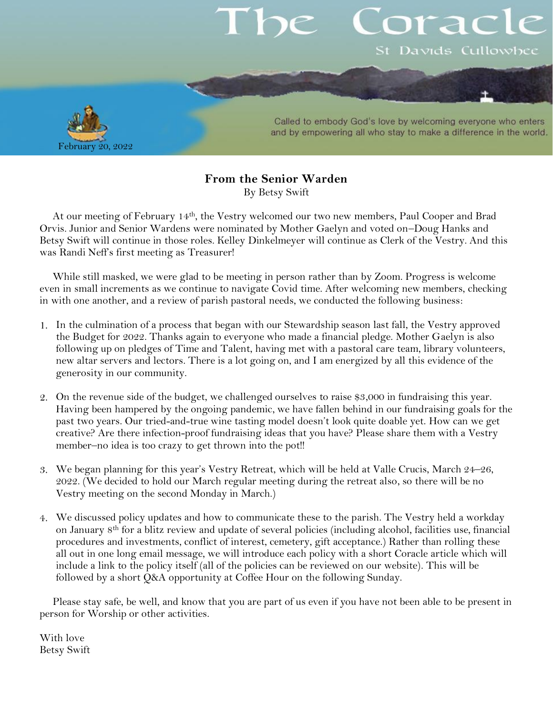# orac St Davids Cullowhee



Called to embody God's love by welcoming everyone who enters and by empowering all who stay to make a difference in the world.

### **From the Senior Warden** By Betsy Swift

At our meeting of February 14th, the Vestry welcomed our two new members, Paul Cooper and Brad Orvis. Junior and Senior Wardens were nominated by Mother Gaelyn and voted on–Doug Hanks and Betsy Swift will continue in those roles. Kelley Dinkelmeyer will continue as Clerk of the Vestry. And this was Randi Neff's first meeting as Treasurer!

While still masked, we were glad to be meeting in person rather than by Zoom. Progress is welcome even in small increments as we continue to navigate Covid time. After welcoming new members, checking in with one another, and a review of parish pastoral needs, we conducted the following business:

- In the culmination of a process that began with our Stewardship season last fall, the Vestry approved the Budget for 2022. Thanks again to everyone who made a financial pledge. Mother Gaelyn is also following up on pledges of Time and Talent, having met with a pastoral care team, library volunteers, new altar servers and lectors. There is a lot going on, and I am energized by all this evidence of the generosity in our community.
- On the revenue side of the budget, we challenged ourselves to raise \$3,000 in fundraising this year. Having been hampered by the ongoing pandemic, we have fallen behind in our fundraising goals for the past two years. Our tried-and-true wine tasting model doesn't look quite doable yet. How can we get creative? Are there infection-proof fundraising ideas that you have? Please share them with a Vestry member–no idea is too crazy to get thrown into the pot!!
- We began planning for this year's Vestry Retreat, which will be held at Valle Crucis, March 24–26, 2022. (We decided to hold our March regular meeting during the retreat also, so there will be no Vestry meeting on the second Monday in March.)
- We discussed policy updates and how to communicate these to the parish. The Vestry held a workday on January 8th for a blitz review and update of several policies (including alcohol, facilities use, financial procedures and investments, conflict of interest, cemetery, gift acceptance.) Rather than rolling these all out in one long email message, we will introduce each policy with a short Coracle article which will include a link to the policy itself (all of the policies can be reviewed on our website). This will be followed by a short Q&A opportunity at Coffee Hour on the following Sunday.

Please stay safe, be well, and know that you are part of us even if you have not been able to be present in person for Worship or other activities.

With love Betsy Swift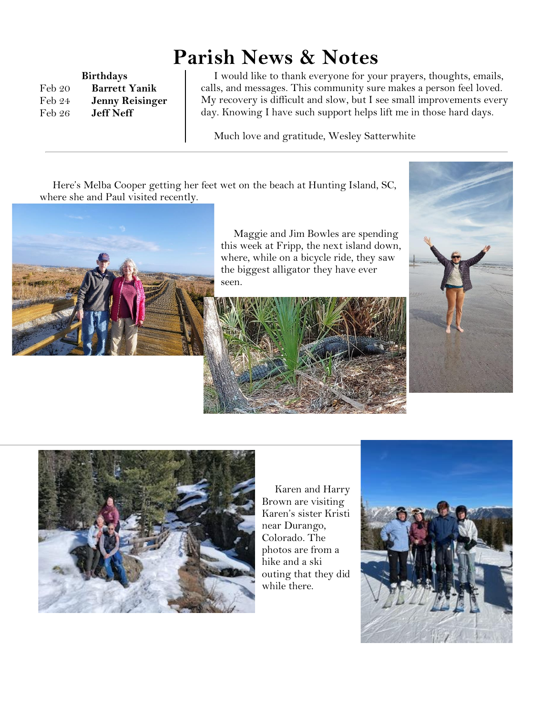## **Parish News & Notes**

**Birthdays** Feb 20 **Barrett Yanik** Feb 24 **Jenny Reisinger** Feb 26 **Jeff Neff**

I would like to thank everyone for your prayers, thoughts, emails, calls, and messages. This community sure makes a person feel loved. My recovery is difficult and slow, but I see small improvements every day. Knowing I have such support helps lift me in those hard days.

Much love and gratitude, Wesley Satterwhite

Here's Melba Cooper getting her feet wet on the beach at Hunting Island, SC, where she and Paul visited recently.



Maggie and Jim Bowles are spending this week at Fripp, the next island down, where, while on a bicycle ride, they saw the biggest alligator they have ever seen.







Karen and Harry Brown are visiting Karen's sister Kristi near Durango, Colorado. The photos are from a hike and a ski outing that they did while there.

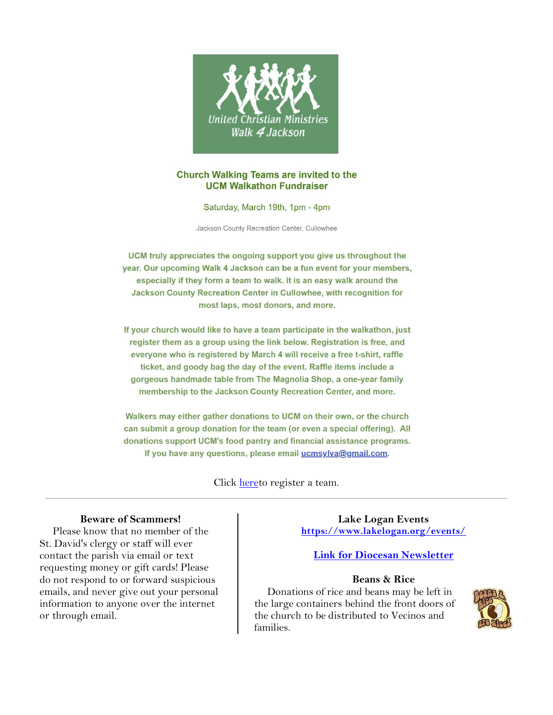

#### **Church Walking Teams are invited to the UCM Walkathon Fundraiser**

Saturday, March 19th, 1pm - 4pm

Jackson County Recreation Center, Cullowhee

UCM truly appreciates the ongoing support you give us throughout the year. Our upcoming Walk 4 Jackson can be a fun event for your members, especially if they form a team to walk. It is an easy walk around the Jackson County Recreation Center in Cullowhee, with recognition for most laps, most donors, and more.

If your church would like to have a team participate in the walkathon, just register them as a group using the link below. Registration is free, and everyone who is registered by March 4 will receive a free t-shirt, raffle ticket, and goody bag the day of the event. Raffle items include a gorgeous handmade table from The Magnolia Shop, a one-year family membership to the Jackson County Recreation Center, and more.

Walkers may either gather donations to UCM on their own, or the church can submit a group donation for the team (or even a special offering). All donations support UCM's food pantry and financial assistance programs. If you have any questions, please email ucmsylva@gmail.com.

Click [heret](https://mcusercontent.com/1d5128aae9b9ff3bbf4f31f50/files/116f0959-5e69-4e25-2b35-aa464bcfcef2/2022_Walkathon_Team_Registration_Form.01.pdf)o register a team.

#### **Beware of Scammers!**

Please know that no member of the St. David's clergy or staff will ever contact the parish via email or text requesting money or gift cards! Please do not respond to or forward suspicious emails, and never give out your personal information to anyone over the internet or through email.

**Lake Logan Events <https://www.lakelogan.org/events/>**

#### **[Link for Diocesan Newsletter](https://files.ctctusercontent.com/bcd32219001/75075db9-7c0d-488e-ad4e-ddfa7bb70a84.pdf?rdr=true)**

#### **Beans & Rice**

Donations of rice and beans may be left in the large containers behind the front doors of the church to be distributed to Vecinos and families.